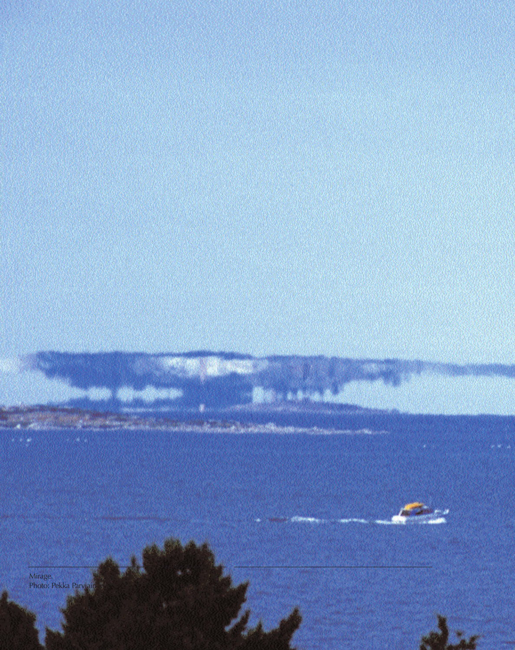Mirage. Photo: Pekka Parviainen

松柏黄色

W.

**The Community** 

M.

Loand Sat Phillip Constant Street, The

海豚肉浆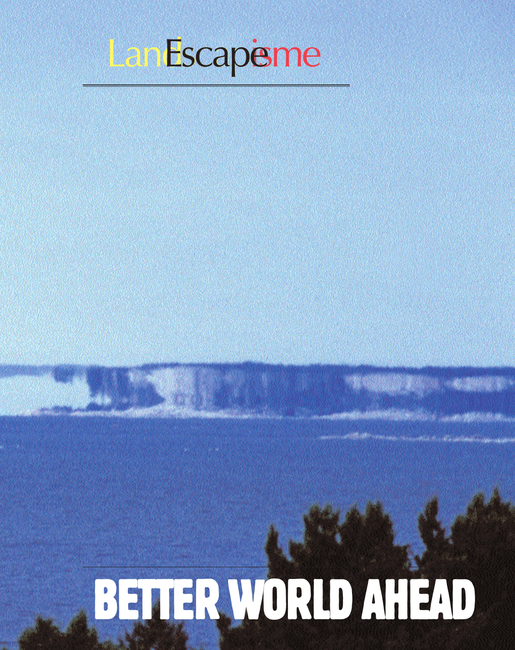

## BETTER WORLD AHEAD

**The Law Agent Administration**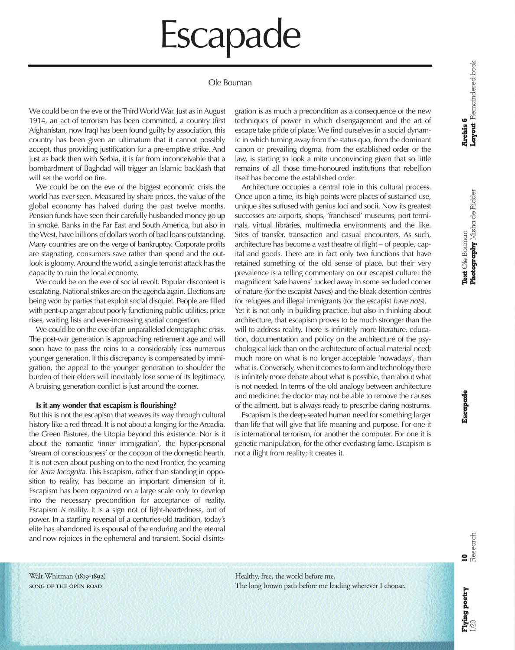## Escapade

## Ole Bouman

We could be on the eve of the Third World War. Just as in August 1914, an act of terrorism has been committed, a country (first Afghanistan, now Iraq) has been found guilty by association, this country has been given an ultimatum that it cannot possibly accept, thus providing justification for a pre-emptive strike. And just as back then with Serbia, it is far from inconceivable that a bombardment of Baghdad will trigger an Islamic backlash that will set the world on fire.

We could be on the eve of the biggest economic crisis the world has ever seen. Measured by share prices, the value of the global economy has halved during the past twelve months. Pension funds have seen their carefully husbanded money go up in smoke. Banks in the Far East and South America, but also in the West, have billions of dollars worth of bad loans outstanding. Many countries are on the verge of bankruptcy. Corporate profits are stagnating, consumers save rather than spend and the outlook is gloomy. Around the world, a single terrorist attack has the capacity to ruin the local economy.

We could be on the eve of social revolt. Popular discontent is escalating. National strikes are on the agenda again. Elections are being won by parties that exploit social disquiet. People are filled with pent-up anger about poorly functioning public utilities, price rises, waiting lists and ever-increasing spatial congestion.

We could be on the eve of an unparalleled demographic crisis. The post-war generation is approaching retirement age and will soon have to pass the reins to a considerably less numerous younger generation. If this discrepancy is compensated by immigration, the appeal to the younger generation to shoulder the burden of their elders will inevitably lose some of its legitimacy. A bruising generation conflict is just around the corner.

## **Is it any wonder that escapism is flourishing?**

But this is not the escapism that weaves its way through cultural history like a red thread. It is not about a longing for the Arcadia, the Green Pastures, the Utopia beyond this existence. Nor is it about the romantic 'inner immigration', the hyper-personal 'stream of consciousness' or the cocoon of the domestic hearth. It is not even about pushing on to the next Frontier, the yearning for *Terra Incognita*. This Escapism, rather than standing in opposition to reality, has become an important dimension of it. Escapism has been organized on a large scale only to develop into the necessary precondition for acceptance of reality. Escapism *is* reality. It is a sign not of light-heartedness, but of power. In a startling reversal of a centuries-old tradition, today's elite has abandoned its espousal of the enduring and the eternal and now rejoices in the ephemeral and transient. Social disinte-

gration is as much a precondition as a consequence of the new techniques of power in which disengagement and the art of escape take pride of place. We find ourselves in a social dynamic in which turning away from the status quo, from the dominant canon or prevailing dogma, from the established order or the law, is starting to look a mite unconvincing given that so little remains of all those time-honoured institutions that rebellion itself has become the established order.

Architecture occupies a central role in this cultural process. Once upon a time, its high points were places of sustained use, unique sites suffused with genius loci and socii. Now its greatest successes are airports, shops, 'franchised' museums, port terminals, virtual libraries, multimedia environments and the like. Sites of transfer, transaction and casual encounters. As such, architecture has become a vast theatre of flight – of people, capital and goods. There are in fact only two functions that have retained something of the old sense of place, but their very prevalence is a telling commentary on our escapist culture: the magnificent 'safe havens' tucked away in some secluded corner of nature (for the escapist *haves*) and the bleak detention centres for refugees and illegal immigrants (for the escapist *have nots*).

Yet it is not only in building practice, but also in thinking about architecture, that escapism proves to be much stronger than the will to address reality. There is infinitely more literature, education, documentation and policy on the architecture of the psychological kick than on the architecture of actual material need; much more on what is no longer acceptable 'nowadays', than what is. Conversely, when it comes to form and technology there is infinitely more debate about what is possible, than about what is not needed. In terms of the old analogy between architecture and medicine: the doctor may not be able to remove the causes of the ailment, but is always ready to prescribe daring nostrums.

Escapism is the deep-seated human need for something larger than life that will give that life meaning and purpose. For one it is international terrorism, for another the computer. For one it is genetic manipulation, for the other everlasting fame. Escapism is not a flight from reality; it creates it.

Walt Whitman (1819-1892) song of the open road

Healthy, free, the world before me, The long brown path before me leading wherever I choose. Research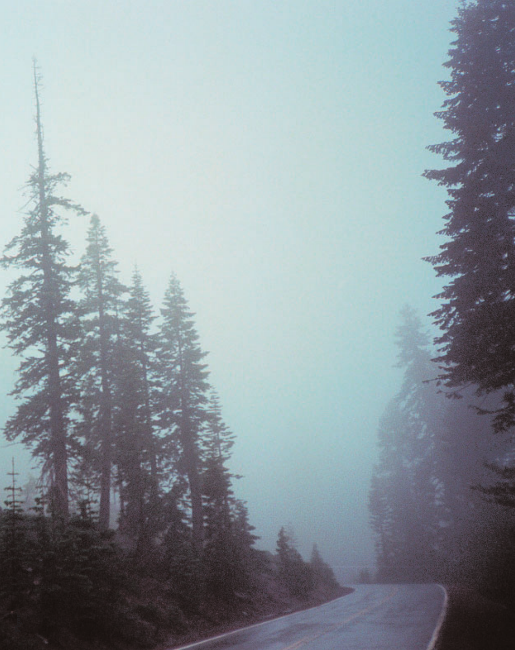